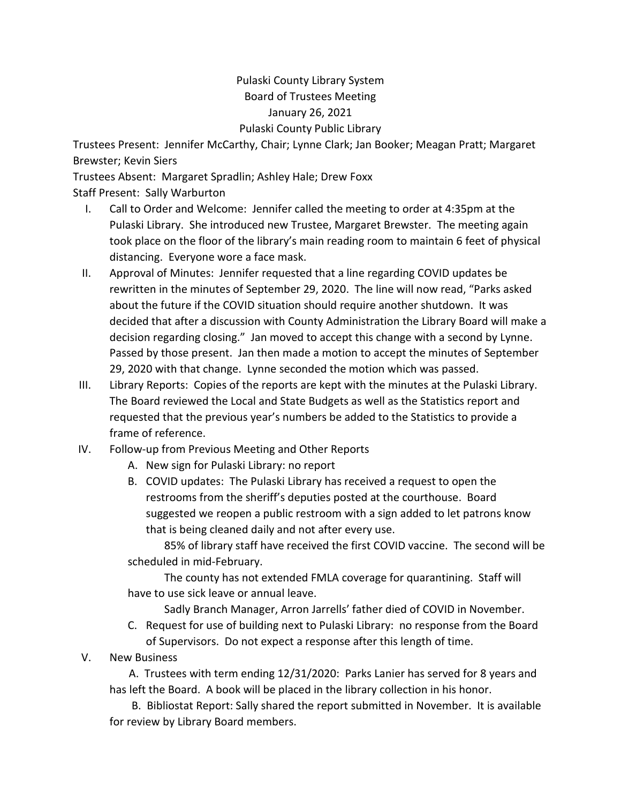## Pulaski County Library System Board of Trustees Meeting January 26, 2021 Pulaski County Public Library

Trustees Present: Jennifer McCarthy, Chair; Lynne Clark; Jan Booker; Meagan Pratt; Margaret Brewster; Kevin Siers

Trustees Absent: Margaret Spradlin; Ashley Hale; Drew Foxx Staff Present: Sally Warburton

- I. Call to Order and Welcome: Jennifer called the meeting to order at 4:35pm at the Pulaski Library. She introduced new Trustee, Margaret Brewster. The meeting again took place on the floor of the library's main reading room to maintain 6 feet of physical distancing. Everyone wore a face mask.
- II. Approval of Minutes: Jennifer requested that a line regarding COVID updates be rewritten in the minutes of September 29, 2020. The line will now read, "Parks asked about the future if the COVID situation should require another shutdown. It was decided that after a discussion with County Administration the Library Board will make a decision regarding closing." Jan moved to accept this change with a second by Lynne. Passed by those present. Jan then made a motion to accept the minutes of September 29, 2020 with that change. Lynne seconded the motion which was passed.
- III. Library Reports: Copies of the reports are kept with the minutes at the Pulaski Library. The Board reviewed the Local and State Budgets as well as the Statistics report and requested that the previous year's numbers be added to the Statistics to provide a frame of reference.
- IV. Follow-up from Previous Meeting and Other Reports
	- A. New sign for Pulaski Library: no report
	- B. COVID updates: The Pulaski Library has received a request to open the restrooms from the sheriff's deputies posted at the courthouse. Board suggested we reopen a public restroom with a sign added to let patrons know that is being cleaned daily and not after every use.

85% of library staff have received the first COVID vaccine. The second will be scheduled in mid-February.

The county has not extended FMLA coverage for quarantining. Staff will have to use sick leave or annual leave.

Sadly Branch Manager, Arron Jarrells' father died of COVID in November.

- C. Request for use of building next to Pulaski Library: no response from the Board of Supervisors. Do not expect a response after this length of time.
- V. New Business

 A. Trustees with term ending 12/31/2020: Parks Lanier has served for 8 years and has left the Board. A book will be placed in the library collection in his honor.

 B. Bibliostat Report: Sally shared the report submitted in November. It is available for review by Library Board members.